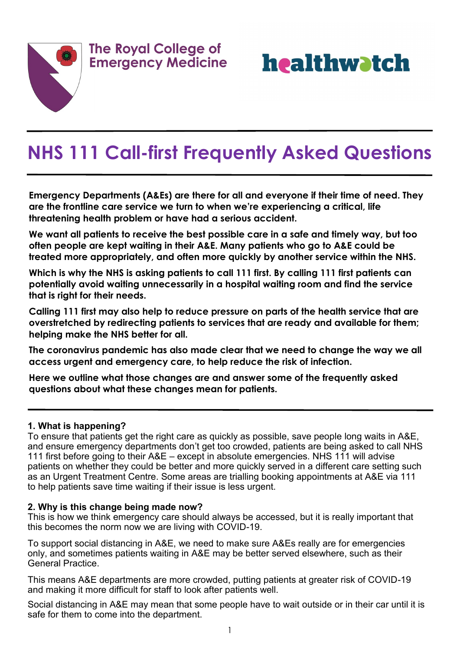



# **NHS 111 Call-first Frequently Asked Questions**

**Emergency Departments (A&Es) are there for all and everyone if their time of need. They are the frontline care service we turn to when we're experiencing a critical, life threatening health problem or have had a serious accident.**

**We want all patients to receive the best possible care in a safe and timely way, but too often people are kept waiting in their A&E. Many patients who go to A&E could be treated more appropriately, and often more quickly by another service within the NHS.** 

**Which is why the NHS is asking patients to call 111 first. By calling 111 first patients can potentially avoid waiting unnecessarily in a hospital waiting room and find the service that is right for their needs.** 

**Calling 111 first may also help to reduce pressure on parts of the health service that are overstretched by redirecting patients to services that are ready and available for them; helping make the NHS better for all.**

**The coronavirus pandemic has also made clear that we need to change the way we all access urgent and emergency care, to help reduce the risk of infection.** 

**Here we outline what those changes are and answer some of the frequently asked questions about what these changes mean for patients.**

#### **1. What is happening?**

To ensure that patients get the right care as quickly as possible, save people long waits in A&E, and ensure emergency departments don't get too crowded, patients are being asked to call NHS 111 first before going to their A&E – except in absolute emergencies. NHS 111 will advise patients on whether they could be better and more quickly served in a different care setting such as an Urgent Treatment Centre. Some areas are trialling booking appointments at A&E via 111 to help patients save time waiting if their issue is less urgent.

#### **2. Why is this change being made now?**

This is how we think emergency care should always be accessed, but it is really important that this becomes the norm now we are living with COVID-19.

To support social distancing in A&E, we need to make sure A&Es really are for emergencies only, and sometimes patients waiting in A&E may be better served elsewhere, such as their General Practice.

This means A&E departments are more crowded, putting patients at greater risk of COVID-19 and making it more difficult for staff to look after patients well.

Social distancing in A&E may mean that some people have to wait outside or in their car until it is safe for them to come into the department.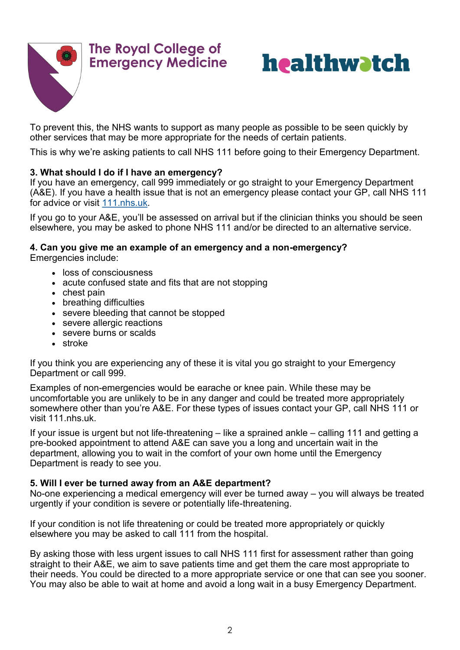



To prevent this, the NHS wants to support as many people as possible to be seen quickly by other services that may be more appropriate for the needs of certain patients.

This is why we're asking patients to call NHS 111 before going to their Emergency Department.

#### **3. What should I do if I have an emergency?**

If you have an emergency, call 999 immediately or go straight to your Emergency Department (A&E). If you have a health issue that is not an emergency please contact your GP, call NHS 111 for advice or visit [111.nhs.uk.](https://111.nhs.uk/)

If you go to your A&E, you'll be assessed on arrival but if the clinician thinks you should be seen elsewhere, you may be asked to phone NHS 111 and/or be directed to an alternative service.

#### **4. Can you give me an example of an emergency and a non-emergency?**

Emergencies include:

- loss of consciousness
- acute confused state and fits that are not stopping
- chest pain
- breathing difficulties
- severe bleeding that cannot be stopped
- severe allergic reactions
- severe burns or scalds
- stroke

If you think you are experiencing any of these it is vital you go straight to your Emergency Department or call 999.

Examples of non-emergencies would be earache or knee pain. While these may be uncomfortable you are unlikely to be in any danger and could be treated more appropriately somewhere other than you're A&E. For these types of issues contact your GP, call NHS 111 or visit 111.nhs.uk.

If your issue is urgent but not life-threatening – like a sprained ankle – calling 111 and getting a pre-booked appointment to attend A&E can save you a long and uncertain wait in the department, allowing you to wait in the comfort of your own home until the Emergency Department is ready to see you.

#### **5. Will I ever be turned away from an A&E department?**

No-one experiencing a medical emergency will ever be turned away – you will always be treated urgently if your condition is severe or potentially life-threatening.

If your condition is not life threatening or could be treated more appropriately or quickly elsewhere you may be asked to call 111 from the hospital.

By asking those with less urgent issues to call NHS 111 first for assessment rather than going straight to their A&E, we aim to save patients time and get them the care most appropriate to their needs. You could be directed to a more appropriate service or one that can see you sooner. You may also be able to wait at home and avoid a long wait in a busy Emergency Department.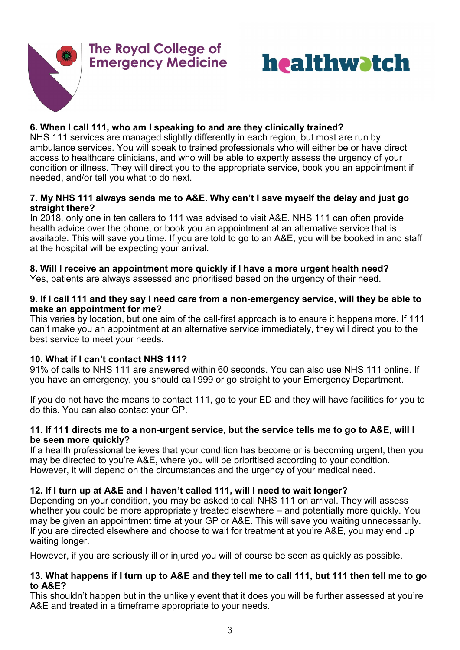



#### **6. When I call 111, who am I speaking to and are they clinically trained?**

NHS 111 services are managed slightly differently in each region, but most are run by ambulance services. You will speak to trained professionals who will either be or have direct access to healthcare clinicians, and who will be able to expertly assess the urgency of your condition or illness. They will direct you to the appropriate service, book you an appointment if needed, and/or tell you what to do next.

#### **7. My NHS 111 always sends me to A&E. Why can't I save myself the delay and just go straight there?**

In 2018, only one in ten callers to 111 was advised to visit A&E. NHS 111 can often provide health advice over the phone, or book you an appointment at an alternative service that is available. This will save you time. If you are told to go to an A&E, you will be booked in and staff at the hospital will be expecting your arrival.

#### **8. Will I receive an appointment more quickly if I have a more urgent health need?**

Yes, patients are always assessed and prioritised based on the urgency of their need.

#### **9. If I call 111 and they say I need care from a non-emergency service, will they be able to make an appointment for me?**

This varies by location, but one aim of the call-first approach is to ensure it happens more. If 111 can't make you an appointment at an alternative service immediately, they will direct you to the best service to meet your needs.

#### **10. What if I can't contact NHS 111?**

91% of calls to NHS 111 are answered within 60 seconds. You can also use NHS 111 online. If you have an emergency, you should call 999 or go straight to your Emergency Department.

If you do not have the means to contact 111, go to your ED and they will have facilities for you to do this. You can also contact your GP.

#### **11. If 111 directs me to a non-urgent service, but the service tells me to go to A&E, will I be seen more quickly?**

If a health professional believes that your condition has become or is becoming urgent, then you may be directed to you're A&E, where you will be prioritised according to your condition. However, it will depend on the circumstances and the urgency of your medical need.

#### **12. If I turn up at A&E and I haven't called 111, will I need to wait longer?**

Depending on your condition, you may be asked to call NHS 111 on arrival. They will assess whether you could be more appropriately treated elsewhere – and potentially more quickly. You may be given an appointment time at your GP or A&E. This will save you waiting unnecessarily. If you are directed elsewhere and choose to wait for treatment at you're A&E, you may end up waiting longer.

However, if you are seriously ill or injured you will of course be seen as quickly as possible.

#### **13. What happens if I turn up to A&E and they tell me to call 111, but 111 then tell me to go to A&E?**

This shouldn't happen but in the unlikely event that it does you will be further assessed at you're A&E and treated in a timeframe appropriate to your needs.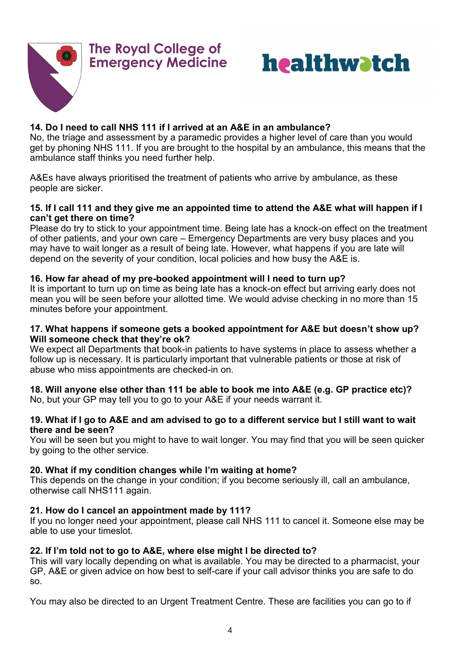



#### **14. Do I need to call NHS 111 if I arrived at an A&E in an ambulance?**

No, the triage and assessment by a paramedic provides a higher level of care than you would get by phoning NHS 111. If you are brought to the hospital by an ambulance, this means that the ambulance staff thinks you need further help.

A&Es have always prioritised the treatment of patients who arrive by ambulance, as these people are sicker.

#### **15. If I call 111 and they give me an appointed time to attend the A&E what will happen if I can't get there on time?**

Please do try to stick to your appointment time. Being late has a knock-on effect on the treatment of other patients, and your own care – Emergency Departments are very busy places and you may have to wait longer as a result of being late. However, what happens if you are late will depend on the severity of your condition, local policies and how busy the A&E is.

#### **16. How far ahead of my pre-booked appointment will I need to turn up?**

It is important to turn up on time as being late has a knock-on effect but arriving early does not mean you will be seen before your allotted time. We would advise checking in no more than 15 minutes before your appointment.

#### **17. What happens if someone gets a booked appointment for A&E but doesn't show up? Will someone check that they're ok?**

We expect all Departments that book-in patients to have systems in place to assess whether a follow up is necessary. It is particularly important that vulnerable patients or those at risk of abuse who miss appointments are checked-in on.

#### **18. Will anyone else other than 111 be able to book me into A&E (e.g. GP practice etc)?**

No, but your GP may tell you to go to your A&E if your needs warrant it.

#### **19. What if I go to A&E and am advised to go to a different service but I still want to wait there and be seen?**

You will be seen but you might to have to wait longer. You may find that you will be seen quicker by going to the other service.

#### **20. What if my condition changes while I'm waiting at home?**

This depends on the change in your condition; if you become seriously ill, call an ambulance, otherwise call NHS111 again.

#### **21. How do I cancel an appointment made by 111?**

If you no longer need your appointment, please call NHS 111 to cancel it. Someone else may be able to use your timeslot.

#### **22. If I'm told not to go to A&E, where else might I be directed to?**

This will vary locally depending on what is available. You may be directed to a pharmacist, your GP, A&E or given advice on how best to self-care if your call advisor thinks you are safe to do so.

You may also be directed to an Urgent Treatment Centre. These are facilities you can go to if